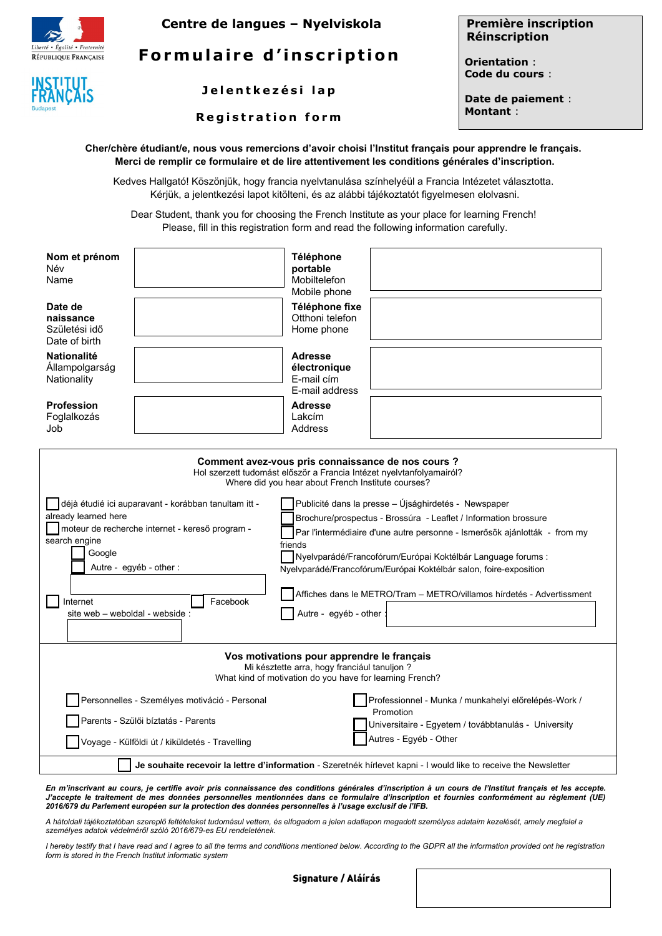



**Centre de langues – Nyelviskola**

**Formulaire d'inscription** 

**J e l e n t k e z é s i l a p**

**R e g i s t r a t i o n f o r m**

**Première inscription Réinscription**

**Orientation** : **Code du cours** :

**Date de paiement** : **Montant** :

| Cher/chère étudiant/e, nous vous remercions d'avoir choisi l'Institut français pour apprendre le français. |
|------------------------------------------------------------------------------------------------------------|
| Merci de remplir ce formulaire et de lire attentivement les conditions générales d'inscription.            |

Kedves Hallgató! Köszönjük, hogy francia nyelvtanulása színhelyéül a Francia Intézetet választotta. Kérjük, a jelentkezési lapot kitölteni, és az alábbi tájékoztatót figyelmesen elolvasni.

Dear Student, thank you for choosing the French Institute as your place for learning French! Please, fill in this registration form and read the following information carefully.

| Nom et prénom<br>Név<br>Name                                                                                                                                                                                                                      |                                               | Téléphone<br>portable<br>Mobiltelefon<br>Mobile phone                                                                                                                                                                                                                                                                                                                                                                                                   |
|---------------------------------------------------------------------------------------------------------------------------------------------------------------------------------------------------------------------------------------------------|-----------------------------------------------|---------------------------------------------------------------------------------------------------------------------------------------------------------------------------------------------------------------------------------------------------------------------------------------------------------------------------------------------------------------------------------------------------------------------------------------------------------|
| Date de<br>naissance<br>Születési idő<br>Date of birth                                                                                                                                                                                            |                                               | Téléphone fixe<br>Otthoni telefon<br>Home phone                                                                                                                                                                                                                                                                                                                                                                                                         |
| <b>Nationalité</b><br>Allampolgarság<br>Nationality                                                                                                                                                                                               |                                               | <b>Adresse</b><br>électronique<br>E-mail cím<br>E-mail address                                                                                                                                                                                                                                                                                                                                                                                          |
| <b>Profession</b><br>Foglalkozás<br>Job                                                                                                                                                                                                           |                                               | <b>Adresse</b><br>Lakcím<br>Address                                                                                                                                                                                                                                                                                                                                                                                                                     |
| Comment avez-vous pris connaissance de nos cours ?<br>Hol szerzett tudomást először a Francia Intézet nyelvtanfolyamairól?<br>Where did you hear about French Institute courses?                                                                  |                                               |                                                                                                                                                                                                                                                                                                                                                                                                                                                         |
| déjà étudié ici auparavant - korábban tanultam itt -<br>already learned here<br>Imoteur de recherche internet - kereső program -<br>search engine<br>Google<br>Autre - egyéb - other :<br>Internet<br>Facebook<br>site web - weboldal - webside : |                                               | Publicité dans la presse – Ujsághirdetés - Newspaper<br>Brochure/prospectus - Brossúra - Leaflet / Information brossure<br>Par l'intermédiaire d'une autre personne - Ismerősök ajánlották - from my<br>friends<br>Nyelvparádé/Francofórum/Európai Koktélbár Language forums :<br>Nyelvparádé/Francofórum/Európai Koktélbár salon, foire-exposition<br>Affiches dans le METRO/Tram – METRO/villamos hírdetés - Advertissment<br>Autre - egyéb - other : |
|                                                                                                                                                                                                                                                   |                                               |                                                                                                                                                                                                                                                                                                                                                                                                                                                         |
| Vos motivations pour apprendre le français<br>Mi késztette arra, hogy franciául tanuljon ?<br>What kind of motivation do you have for learning French?                                                                                            |                                               |                                                                                                                                                                                                                                                                                                                                                                                                                                                         |
|                                                                                                                                                                                                                                                   | Personnelles - Személyes motiváció - Personal | Professionnel - Munka / munkahelyi előrelépés-Work /                                                                                                                                                                                                                                                                                                                                                                                                    |
| Promotion<br>Parents - Szülői bíztatás - Parents<br>Universitaire - Egyetem / továbbtanulás - University<br>Autres - Egyéb - Other                                                                                                                |                                               |                                                                                                                                                                                                                                                                                                                                                                                                                                                         |
| Voyage - Külföldi út / kiküldetés - Travelling                                                                                                                                                                                                    |                                               |                                                                                                                                                                                                                                                                                                                                                                                                                                                         |
| Je souhaite recevoir la lettre d'information - Szeretnék hírlevet kapni - I would like to receive the Newsletter                                                                                                                                  |                                               |                                                                                                                                                                                                                                                                                                                                                                                                                                                         |

*En m'inscrivant au cours, je certifie avoir pris connaissance des conditions générales d'inscription à un cours de l'Institut français et les accepte. J'accepte le traitement de mes données personnelles mentionnées dans ce formulaire d'inscription et fournies conformément au règlement (UE) 2016/679 du Parlement européen sur la protection des données personnelles à l'usage exclusif de l'IFB.*

*A hátoldali tájékoztatóban szereplő feltételeket tudomásul vettem, és elfogadom a jelen adatlapon megadott személyes adataim kezelését, amely megfelel a személyes adatok védelméről szóló 2016/679-es EU rendeletének.* 

*I hereby testify that I have read and I agree to all the terms and conditions mentioned below. According to the GDPR all the information provided ont he registration form is stored in the French Institut informatic system*